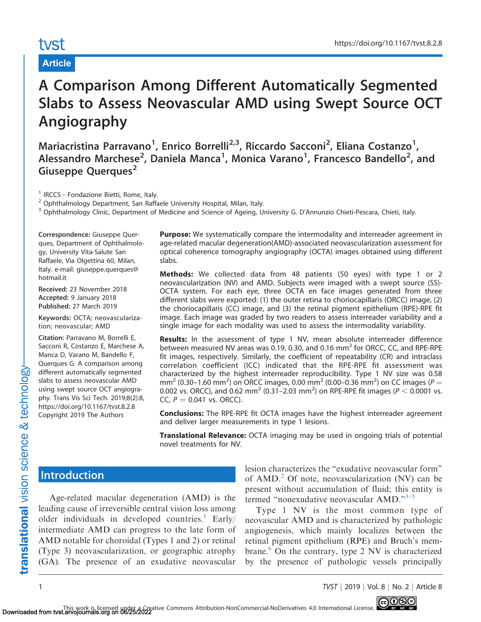# tyst

#### Article

## A Comparison Among Different Automatically Segmented Slabs to Assess Neovascular AMD using Swept Source OCT Angiography

Mariacristina Parravano<sup>1</sup>, Enrico Borrelli<sup>2,3</sup>, Riccardo Sacconi<sup>2</sup>, Eliana Costanzo<sup>1</sup>, Alessandro Marchese<sup>2</sup>, Daniela Manca<sup>1</sup>, Monica Varano<sup>1</sup>, Francesco Bandello<sup>2</sup>, and Giuseppe Querques<sup>2</sup>

<sup>1</sup> IRCCS - Fondazione Bietti, Rome, Italy.

 $2$  Ophthalmology Department, San Raffaele University Hospital, Milan, Italy.

<sup>3</sup> Ophthalmology Clinic, Department of Medicine and Science of Ageing, University G. D'Annunzio Chieti-Pescara, Chieti, Italy.

Correspondence: Giuseppe Querques, Department of Ophthalmology, University Vita-Salute San Raffaele, Via Olgettina 60, Milan, Italy. e-mail: giuseppe.querques@ hotmail.it

Received: 23 November 2018 Accepted: 9 January 2018 Published: 27 March 2019

Keywords: OCTA; neovascularization; neovascular; AMD

Citation: Parravano M, Borrelli E, Sacconi R, Costanzo E, Marchese A, Manca D, Varano M, Bandello F, Querques G. A comparison among different automatically segmented slabs to assess neovascular AMD using swept source OCT angiography. Trans Vis Sci Tech. 2019;8(2):8, https://doi.org/10.1167/tvst.8.2.8 Copyright 2019 The Authors

**Purpose:** We systematically compare the intermodality and interreader agreement in age-related macular degeneration(AMD)-associated neovascularization assessment for optical coherence tomography angiography (OCTA) images obtained using different slabs.

Methods: We collected data from 48 patients (50 eyes) with type 1 or 2 neovascularization (NV) and AMD. Subjects were imaged with a swept source (SS)- OCTA system. For each eye, three OCTA en face images generated from three different slabs were exported: (1) the outer retina to choriocapillaris (ORCC) image, (2) the choriocapillaris (CC) image, and (3) the retinal pigment epithelium (RPE)-RPE fit image. Each image was graded by two readers to assess interreader variability and a single image for each modality was used to assess the intermodality variability.

**Results:** In the assessment of type 1 NV, mean absolute interreader difference between measured NV areas was 0.19, 0.30, and 0.16  $\text{mm}^2$  for ORCC, CC, and RPE-RPE fit images, respectively. Similarly, the coefficient of repeatability (CR) and intraclass correlation coefficient (ICC) indicated that the RPE-RPE fit assessment was characterized by the highest interreader reproducibility. Type 1 NV size was 0.58 mm<sup>2</sup> (0.30–1.60 mm<sup>2</sup>) on ORCC images, 0.00 mm<sup>2</sup> (0.00–0.36 mm<sup>2</sup>) on CC images (P = 0.002 vs. ORCC), and 0.62 mm<sup>2</sup> (0.31–2.03 mm<sup>2</sup>) on RPE-RPE fit images ( $P < 0.0001$  vs. CC,  $P = 0.041$  vs. ORCC).

**Conclusions:** The RPE-RPE fit OCTA images have the highest interreader agreement and deliver larger measurements in type 1 lesions.

Translational Relevance: OCTA imaging may be used in ongoing trials of potential novel treatments for NV.

#### Introduction

Age-related macular degeneration (AMD) is the leading cause of irreversible central vision loss among older individuals in developed countries.<sup>[1](#page-6-0)</sup> Early/ intermediate AMD can progress to the late form of AMD notable for choroidal (Types 1 and 2) or retinal (Type 3) neovascularization, or geographic atrophy (GA). The presence of an exudative neovascular lesion characterizes the ''exudative neovascular form'' of  $\text{AMD.}^2$  $\text{AMD.}^2$  Of note, neovascularization (NV) can be present without accumulation of fluid; this entity is termed "nonexudative neovascular AMD."<sup>3–5</sup>

Type 1 NV is the most common type of neovascular AMD and is characterized by pathologic angiogenesis, which mainly localizes between the retinal pigment epithelium (RPE) and Bruch's mem-brane.<sup>[6](#page-6-0)</sup> On the contrary, type 2 NV is characterized by the presence of pathologic vessels principally

1 TVST j 2019 j Vol. 8 j No. 2 j Article 8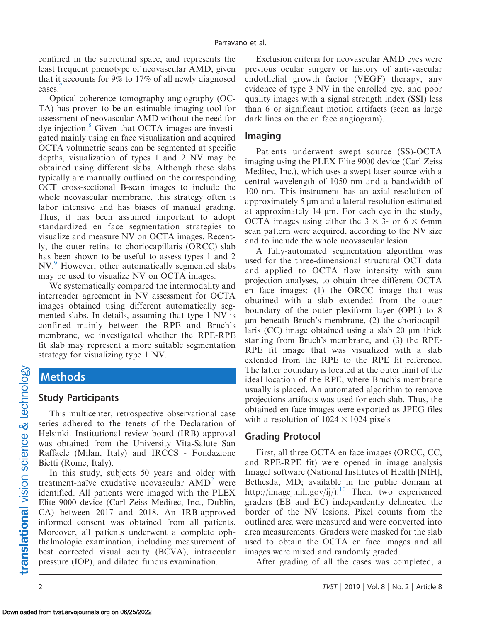confined in the subretinal space, and represents the least frequent phenotype of neovascular AMD, given that it accounts for 9% to 17% of all newly diagnosed cases.<sup>[7](#page-6-0)</sup>

Optical coherence tomography angiography (OC-TA) has proven to be an estimable imaging tool for assessment of neovascular AMD without the need for dye injection.<sup>8</sup> Given that OCTA images are investigated mainly using en face visualization and acquired OCTA volumetric scans can be segmented at specific depths, visualization of types 1 and 2 NV may be obtained using different slabs. Although these slabs typically are manually outlined on the corresponding OCT cross-sectional B-scan images to include the whole neovascular membrane, this strategy often is labor intensive and has biases of manual grading. Thus, it has been assumed important to adopt standardized en face segmentation strategies to visualize and measure NV on OCTA images. Recently, the outer retina to choriocapillaris (ORCC) slab has been shown to be useful to assess types 1 and 2 NV.<sup>[9](#page-7-0)</sup> However, other automatically segmented slabs may be used to visualize NV on OCTA images.

We systematically compared the intermodality and interreader agreement in NV assessment for OCTA images obtained using different automatically segmented slabs. In details, assuming that type 1 NV is confined mainly between the RPE and Bruch's membrane, we investigated whether the RPE-RPE fit slab may represent a more suitable segmentation strategy for visualizing type 1 NV.

### Methods

#### Study Participants

This multicenter, retrospective observational case series adhered to the tenets of the Declaration of Helsinki. Institutional review board (IRB) approval was obtained from the University Vita-Salute San Raffaele (Milan, Italy) and IRCCS - Fondazione Bietti (Rome, Italy).

In this study, subjects 50 years and older with treatment-naïve exudative neovascular  $\text{AMD}^2$  $\text{AMD}^2$  were identified. All patients were imaged with the PLEX Elite 9000 device (Carl Zeiss Meditec, Inc., Dublin, CA) between 2017 and 2018. An IRB-approved informed consent was obtained from all patients. Moreover, all patients underwent a complete ophthalmologic examination, including measurement of best corrected visual acuity (BCVA), intraocular pressure (IOP), and dilated fundus examination.

Exclusion criteria for neovascular AMD eyes were previous ocular surgery or history of anti-vascular endothelial growth factor (VEGF) therapy, any evidence of type 3 NV in the enrolled eye, and poor quality images with a signal strength index (SSI) less than 6 or significant motion artifacts (seen as large dark lines on the en face angiogram).

#### Imaging

Patients underwent swept source (SS)-OCTA imaging using the PLEX Elite 9000 device (Carl Zeiss Meditec, Inc.), which uses a swept laser source with a central wavelength of 1050 nm and a bandwidth of 100 nm. This instrument has an axial resolution of approximately 5  $\mu$ m and a lateral resolution estimated at approximately  $14 \mu m$ . For each eye in the study, OCTA images using either the  $3 \times 3$ - or 6  $\times$  6-mm scan pattern were acquired, according to the NV size and to include the whole neovascular lesion.

A fully-automated segmentation algorithm was used for the three-dimensional structural OCT data and applied to OCTA flow intensity with sum projection analyses, to obtain three different OCTA en face images: (1) the ORCC image that was obtained with a slab extended from the outer boundary of the outer plexiform layer (OPL) to 8  $\mu$ m beneath Bruch's membrane, (2) the choriocapillaris  $(CC)$  image obtained using a slab 20  $\mu$ m thick starting from Bruch's membrane, and (3) the RPE-RPE fit image that was visualized with a slab extended from the RPE to the RPE fit reference. The latter boundary is located at the outer limit of the ideal location of the RPE, where Bruch's membrane usually is placed. An automated algorithm to remove projections artifacts was used for each slab. Thus, the obtained en face images were exported as JPEG files with a resolution of  $1024 \times 1024$  pixels

#### Grading Protocol

First, all three OCTA en face images (ORCC, CC, and RPE-RPE fit) were opened in image analysis ImageJ software (National Institutes of Health [NIH], Bethesda, MD; available in the public domain at http://imagej.nih.gov/ij/).<sup>[10](#page-7-0)</sup> Then, two experienced graders (EB and EC) independently delineated the border of the NV lesions. Pixel counts from the outlined area were measured and were converted into area measurements. Graders were masked for the slab used to obtain the OCTA en face images and all images were mixed and randomly graded.

After grading of all the cases was completed, a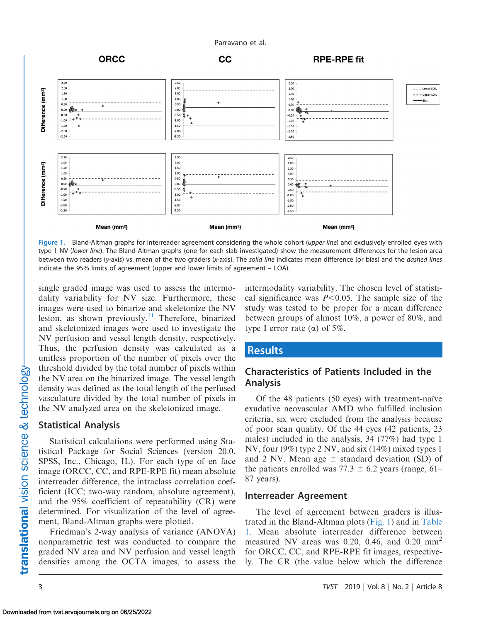



Figure 1. Bland-Altman graphs for interreader agreement considering the whole cohort (upper line) and exclusively enrolled eyes with type 1 NV (lower line). The Bland-Altman graphs (one for each slab investigated) show the measurement differences for the lesion area between two readers (y-axis) vs. mean of the two graders (x-axis). The solid line indicates mean difference (or bias) and the dashed lines indicate the 95% limits of agreement (upper and lower limits of agreement – LOA).

single graded image was used to assess the intermodality variability for NV size. Furthermore, these images were used to binarize and skeletonize the NV lesion, as shown previously.<sup>[11](#page-7-0)</sup> Therefore, binarized and skeletonized images were used to investigate the NV perfusion and vessel length density, respectively. Thus, the perfusion density was calculated as a unitless proportion of the number of pixels over the threshold divided by the total number of pixels within the NV area on the binarized image. The vessel length density was defined as the total length of the perfused vasculature divided by the total number of pixels in the NV analyzed area on the skeletonized image.

#### Statistical Analysis

Statistical calculations were performed using Statistical Package for Social Sciences (version 20.0, SPSS, Inc., Chicago, IL). For each type of en face image (ORCC, CC, and RPE-RPE fit) mean absolute interreader difference, the intraclass correlation coefficient (ICC; two-way random, absolute agreement), and the 95% coefficient of repeatability (CR) were determined. For visualization of the level of agreement, Bland-Altman graphs were plotted.

Friedman's 2-way analysis of variance (ANOVA) nonparametric test was conducted to compare the graded NV area and NV perfusion and vessel length densities among the OCTA images, to assess the

intermodality variability. The chosen level of statistical significance was  $P<0.05$ . The sample size of the study was tested to be proper for a mean difference between groups of almost 10%, a power of 80%, and type I error rate  $(\alpha)$  of 5%.

#### **Results**

#### Characteristics of Patients Included in the Analysis

Of the 48 patients  $(50 \text{ eyes})$  with treatment-naïve exudative neovascular AMD who fulfilled inclusion criteria, six were excluded from the analysis because of poor scan quality. Of the 44 eyes (42 patients, 23 males) included in the analysis, 34 (77%) had type 1 NV, four (9%) type 2 NV, and six (14%) mixed types 1 and 2 NV. Mean age  $\pm$  standard deviation (SD) of the patients enrolled was 77.3  $\pm$  6.2 years (range, 61– 87 years).

#### Interreader Agreement

The level of agreement between graders is illustrated in the Bland-Altman plots (Fig. 1) and in [Table](#page-3-0) [1.](#page-3-0) Mean absolute interreader difference between measured NV areas was 0.20, 0.46, and 0.20  $mm<sup>2</sup>$ for ORCC, CC, and RPE-RPE fit images, respectively. The CR (the value below which the difference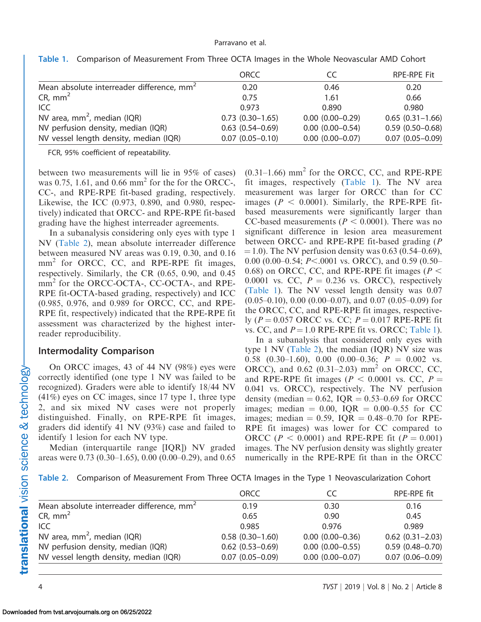|                                                       | ORCC                | CC                   | <b>RPE-RPE Fit</b>  |
|-------------------------------------------------------|---------------------|----------------------|---------------------|
| Mean absolute interreader difference, mm <sup>2</sup> | 0.20                | 0.46                 | 0.20                |
| $CR, \, mm2$                                          | 0.75                | 1.61                 | 0.66                |
| ICC.                                                  | 0.973               | 0.890                | 0.980               |
| NV area, $mm^2$ , median (IQR)                        | $0.73(0.30-1.65)$   | $0.00(0.00-0.29)$    | $0.65(0.31-1.66)$   |
| NV perfusion density, median (IQR)                    | $0.63(0.54 - 0.69)$ | $0.00(0.00 - 0.54)$  | $0.59(0.50 - 0.68)$ |
| NV vessel length density, median (IQR)                | $0.07(0.05 - 0.10)$ | $0.00$ $(0.00-0.07)$ | $0.07(0.05 - 0.09)$ |

<span id="page-3-0"></span>Table 1. Comparison of Measurement From Three OCTA Images in the Whole Neovascular AMD Cohort

FCR, 95% coefficient of repeatability.

between two measurements will lie in 95% of cases) was 0.75, 1.61, and 0.66  $mm<sup>2</sup>$  for the for the ORCC-, CC-, and RPE-RPE fit-based grading, respectively. Likewise, the ICC (0.973, 0.890, and 0.980, respectively) indicated that ORCC- and RPE-RPE fit-based grading have the highest interreader agreements.

In a subanalysis considering only eyes with type 1 NV (Table 2), mean absolute interreader difference between measured NV areas was 0.19, 0.30, and 0.16 mm<sup>2</sup> for ORCC, CC, and RPE-RPE fit images, respectively. Similarly, the CR (0.65, 0.90, and 0.45 mm<sup>2</sup> for the ORCC-OCTA-, CC-OCTA-, and RPE-RPE fit-OCTA-based grading, respectively) and ICC (0.985, 0.976, and 0.989 for ORCC, CC, and RPE-RPE fit, respectively) indicated that the RPE-RPE fit assessment was characterized by the highest interreader reproducibility.

#### Intermodality Comparison

On ORCC images, 43 of 44 NV (98%) eyes were correctly identified (one type 1 NV was failed to be recognized). Graders were able to identify 18/44 NV (41%) eyes on CC images, since 17 type 1, three type 2, and six mixed NV cases were not properly distinguished. Finally, on RPE-RPE fit images, graders did identify 41 NV (93%) case and failed to identify 1 lesion for each NV type.

Median (interquartile range [IQR]) NV graded areas were 0.73 (0.30–1.65), 0.00 (0.00–0.29), and 0.65  $(0.31-1.66)$  mm<sup>2</sup> for the ORCC, CC, and RPE-RPE fit images, respectively (Table 1). The NV area measurement was larger for ORCC than for CC images ( $P < 0.0001$ ). Similarly, the RPE-RPE fitbased measurements were significantly larger than CC-based measurements ( $P < 0.0001$ ). There was no significant difference in lesion area measurement between ORCC- and RPE-RPE fit-based grading (P  $(1,0)$ . The NV perfusion density was 0.63 (0.54–0.69), 0.00 (0.00–0.54;  $P<$ .0001 vs. ORCC), and 0.59 (0.50– 0.68) on ORCC, CC, and RPE-RPE fit images ( $P <$ 0.0001 vs. CC,  $P = 0.236$  vs. ORCC), respectively (Table 1). The NV vessel length density was 0.07  $(0.05-0.10)$ ,  $(0.00(0.00-0.07))$ , and  $(0.05-0.09)$  for the ORCC, CC, and RPE-RPE fit images, respectively ( $P = 0.057$  ORCC vs. CC;  $P = 0.017$  RPE-RPE fit vs. CC, and  $P = 1.0$  RPE-RPE fit vs. ORCC; Table 1).

In a subanalysis that considered only eyes with type 1 NV (Table 2), the median (IQR) NV size was 0.58 (0.30–1.60), 0.00 (0.00–0.36;  $P = 0.002$  vs. ORCC), and  $0.62$  (0.31–2.03) mm<sup>2</sup> on ORCC, CC, and RPE-RPE fit images ( $P < 0.0001$  vs. CC,  $P =$ 0.041 vs. ORCC), respectively. The NV perfusion density (median  $= 0.62$ , IQR  $= 0.53 - 0.69$  for ORCC images; median  $= 0.00$ , IQR  $= 0.00 - 0.55$  for CC images; median = 0.59,  $IQR = 0.48{\text -}0.70$  for RPE-RPE fit images) was lower for CC compared to ORCC ( $P < 0.0001$ ) and RPE-RPE fit ( $P = 0.001$ ) images. The NV perfusion density was slightly greater numerically in the RPE-RPE fit than in the ORCC

Table 2. Comparison of Measurement From Three OCTA Images in the Type 1 Neovascularization Cohort

|                                                       | ORCC                   | CC                   | <b>RPE-RPE fit</b>     |
|-------------------------------------------------------|------------------------|----------------------|------------------------|
| Mean absolute interreader difference, mm <sup>2</sup> | 0.19                   | 0.30                 | 0.16                   |
| $CR, \, mm2$                                          | 0.65                   | 0.90                 | 0.45                   |
| ICC.                                                  | 0.985                  | 0.976                | 0.989                  |
| NV area, $mm2$ , median (IQR)                         | $0.58(0.30-1.60)$      | $0.00(0.00 - 0.36)$  | $0.62$ $(0.31 - 2.03)$ |
| NV perfusion density, median (IQR)                    | $0.62$ $(0.53 - 0.69)$ | $0.00$ $(0.00-0.55)$ | $0.59(0.48 - 0.70)$    |
| NV vessel length density, median (IQR)                | $0.07(0.05 - 0.09)$    | $0.00$ $(0.00-0.07)$ | $0.07(0.06 - 0.09)$    |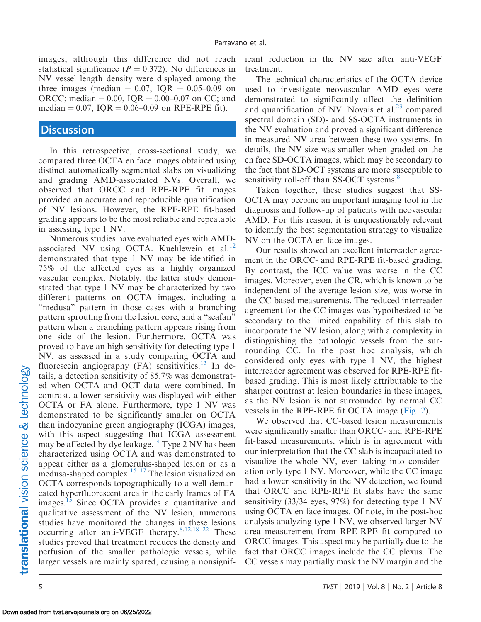images, although this difference did not reach statistical significance ( $P = 0.372$ ). No differences in NV vessel length density were displayed among the three images (median  $= 0.07$ , IQR  $= 0.05 - 0.09$  on ORCC; median = 0.00,  $IQR = 0.00 - 0.07$  on CC; and median = 0.07,  $IQR = 0.06{\text -}0.09$  on RPE-RPE fit).

#### **Discussion**

In this retrospective, cross-sectional study, we compared three OCTA en face images obtained using distinct automatically segmented slabs on visualizing and grading AMD-associated NVs. Overall, we observed that ORCC and RPE-RPE fit images provided an accurate and reproducible quantification of NV lesions. However, the RPE-RPE fit-based grading appears to be the most reliable and repeatable in assessing type 1 NV.

Numerous studies have evaluated eyes with AMD-associated NV using OCTA. Kuehlewein et al.<sup>[12](#page-7-0)</sup> demonstrated that type 1 NV may be identified in 75% of the affected eyes as a highly organized vascular complex. Notably, the latter study demonstrated that type 1 NV may be characterized by two different patterns on OCTA images, including a ''medusa'' pattern in those cases with a branching pattern sprouting from the lesion core, and a ''seafan'' pattern when a branching pattern appears rising from one side of the lesion. Furthermore, OCTA was proved to have an high sensitivity for detecting type 1 NV, as assessed in a study comparing OCTA and fluorescein angiography  $(FA)$  sensitivities.<sup>13</sup> In details, a detection sensitivity of 85.7% was demonstrated when OCTA and OCT data were combined. In contrast, a lower sensitivity was displayed with either OCTA or FA alone. Furthermore, type 1 NV was demonstrated to be significantly smaller on OCTA than indocyanine green angiography (ICGA) images, with this aspect suggesting that ICGA assessment may be affected by dye leakage.<sup>[14](#page-7-0)</sup> Type 2 NV has been characterized using OCTA and was demonstrated to appear either as a glomerulus-shaped lesion or as a medusa-shaped complex. $15-17$  The lesion visualized on OCTA corresponds topographically to a well-demarcated hyperfluorescent area in the early frames of FA images.<sup>[15](#page-7-0)</sup> Since OCTA provides a quantitative and qualitative assessment of the NV lesion, numerous studies have monitored the changes in these lesions occurring after anti-VEGF therapy.[8,](#page-6-0)[12,18–22](#page-7-0) These studies proved that treatment reduces the density and perfusion of the smaller pathologic vessels, while larger vessels are mainly spared, causing a nonsignificant reduction in the NV size after anti-VEGF treatment.

The technical characteristics of the OCTA device used to investigate neovascular AMD eyes were demonstrated to significantly affect the definition and quantification of NV. Novais et al. $^{23}$  compared spectral domain (SD)- and SS-OCTA instruments in the NV evaluation and proved a significant difference in measured NV area between these two systems. In details, the NV size was smaller when graded on the en face SD-OCTA images, which may be secondary to the fact that SD-OCT systems are more susceptible to sensitivity roll-off than SS-OCT systems.<sup>[8](#page-6-0)</sup>

Taken together, these studies suggest that SS-OCTA may become an important imaging tool in the diagnosis and follow-up of patients with neovascular AMD. For this reason, it is unquestionably relevant to identify the best segmentation strategy to visualize NV on the OCTA en face images.

Our results showed an excellent interreader agreement in the ORCC- and RPE-RPE fit-based grading. By contrast, the ICC value was worse in the CC images. Moreover, even the CR, which is known to be independent of the average lesion size, was worse in the CC-based measurements. The reduced interreader agreement for the CC images was hypothesized to be secondary to the limited capability of this slab to incorporate the NV lesion, along with a complexity in distinguishing the pathologic vessels from the surrounding CC. In the post hoc analysis, which considered only eyes with type 1 NV, the highest interreader agreement was observed for RPE-RPE fitbased grading. This is most likely attributable to the sharper contrast at lesion boundaries in these images, as the NV lesion is not surrounded by normal CC vessels in the RPE-RPE fit OCTA image ([Fig. 2\)](#page-5-0).

We observed that CC-based lesion measurements were significantly smaller than ORCC- and RPE-RPE fit-based measurements, which is in agreement with our interpretation that the CC slab is incapacitated to visualize the whole NV, even taking into consideration only type 1 NV. Moreover, while the CC image had a lower sensitivity in the NV detection, we found that ORCC and RPE-RPE fit slabs have the same sensitivity (33/34 eyes, 97%) for detecting type 1 NV using OCTA en face images. Of note, in the post-hoc analysis analyzing type 1 NV, we observed larger NV area measurement from RPE-RPE fit compared to ORCC images. This aspect may be partially due to the fact that ORCC images include the CC plexus. The CC vessels may partially mask the NV margin and the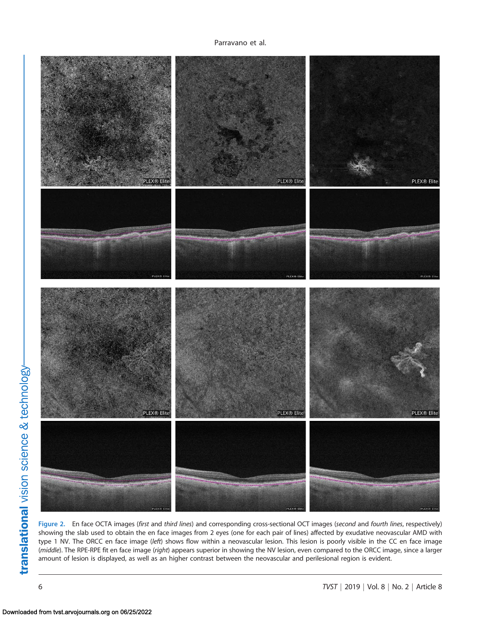<span id="page-5-0"></span>

Figure 2. En face OCTA images (first and third lines) and corresponding cross-sectional OCT images (second and fourth lines, respectively) showing the slab used to obtain the en face images from 2 eyes (one for each pair of lines) affected by exudative neovascular AMD with type 1 NV. The ORCC en face image (left) shows flow within a neovascular lesion. This lesion is poorly visible in the CC en face image (middle). The RPE-RPE fit en face image (right) appears superior in showing the NV lesion, even compared to the ORCC image, since a larger amount of lesion is displayed, as well as an higher contrast between the neovascular and perilesional region is evident.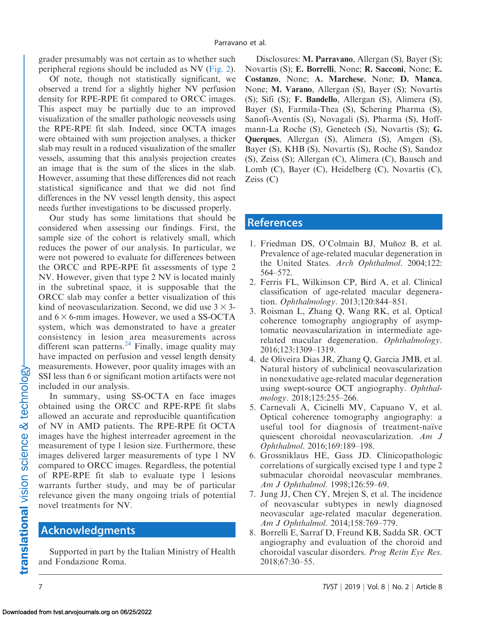<span id="page-6-0"></span>grader presumably was not certain as to whether such peripheral regions should be included as NV ([Fig. 2](#page-5-0)).

Of note, though not statistically significant, we observed a trend for a slightly higher NV perfusion density for RPE-RPE fit compared to ORCC images. This aspect may be partially due to an improved visualization of the smaller pathologic neovessels using the RPE-RPE fit slab. Indeed, since OCTA images were obtained with sum projection analyses, a thicker slab may result in a reduced visualization of the smaller vessels, assuming that this analysis projection creates an image that is the sum of the slices in the slab. However, assuming that these differences did not reach statistical significance and that we did not find differences in the NV vessel length density, this aspect needs further investigations to be discussed properly.

Our study has some limitations that should be considered when assessing our findings. First, the sample size of the cohort is relatively small, which reduces the power of our analysis. In particular, we were not powered to evaluate for differences between the ORCC and RPE-RPE fit assessments of type 2 NV. However, given that type 2 NV is located mainly in the subretinal space, it is supposable that the ORCC slab may confer a better visualization of this kind of neovascularization. Second, we did use  $3 \times 3$ and  $6 \times 6$ -mm images. However, we used a SS-OCTA system, which was demonstrated to have a greater consistency in lesion area measurements across different scan patterns.<sup>[24](#page-7-0)</sup> Finally, image quality may have impacted on perfusion and vessel length density measurements. However, poor quality images with an SSI less than 6 or significant motion artifacts were not included in our analysis.

In summary, using SS-OCTA en face images obtained using the ORCC and RPE-RPE fit slabs allowed an accurate and reproducible quantification of NV in AMD patients. The RPE-RPE fit OCTA images have the highest interreader agreement in the measurement of type 1 lesion size. Furthermore, these images delivered larger measurements of type 1 NV compared to ORCC images. Regardless, the potential of RPE-RPE fit slab to evaluate type 1 lesions warrants further study, and may be of particular relevance given the many ongoing trials of potential novel treatments for NV.

#### Acknowledgments

Supported in part by the Italian Ministry of Health and Fondazione Roma.

Disclosures: M. Parravano, Allergan (S), Bayer (S); Novartis (S); E. Borrelli, None; R. Sacconi, None; E. Costanzo, None; A. Marchese, None; D. Manca, None; M. Varano, Allergan (S), Bayer (S); Novartis (S); Sifi (S); F. Bandello, Allergan (S), Alimera (S), Bayer (S), Farmila-Thea (S), Schering Pharma (S), Sanofi-Aventis (S), Novagali (S), Pharma (S), Hoffmann-La Roche (S), Genetech (S), Novartis (S); G. Querques, Allergan (S), Alimera (S), Amgen (S), Bayer (S), KHB (S), Novartis (S), Roche (S), Sandoz (S), Zeiss (S); Allergan (C), Alimera (C), Bausch and Lomb (C), Bayer (C), Heidelberg (C), Novartis (C), Zeiss (C)

#### References

- 1. Friedman DS, O'Colmain BJ, Muñoz B, et al. Prevalence of age-related macular degeneration in the United States. Arch Ophthalmol. 2004;122: 564–572.
- 2. Ferris FL, Wilkinson CP, Bird A, et al. Clinical classification of age-related macular degeneration. Ophthalmology. 2013;120:844–851.
- 3. Roisman L, Zhang Q, Wang RK, et al. Optical coherence tomography angiography of asymptomatic neovascularization in intermediate agerelated macular degeneration. Ophthalmology. 2016;123:1309–1319.
- 4. de Oliveira Dias JR, Zhang Q, Garcia JMB, et al. Natural history of subclinical neovascularization in nonexudative age-related macular degeneration using swept-source OCT angiography. Ophthalmology. 2018;125:255-266.
- 5. Carnevali A, Cicinelli MV, Capuano V, et al. Optical coherence tomography angiography: a useful tool for diagnosis of treatment-naïve quiescent choroidal neovascularization. Am J Ophthalmol. 2016;169:189–198.
- 6. Grossniklaus HE, Gass JD. Clinicopathologic correlations of surgically excised type 1 and type 2 submacular choroidal neovascular membranes. Am J Ophthalmol. 1998;126:59–69.
- 7. Jung JJ, Chen CY, Mrejen S, et al. The incidence of neovascular subtypes in newly diagnosed neovascular age-related macular degeneration. Am J Ophthalmol. 2014;158:769–779.
- 8. Borrelli E, Sarraf D, Freund KB, Sadda SR. OCT angiography and evaluation of the choroid and choroidal vascular disorders. Prog Retin Eye Res. 2018;67:30–55.